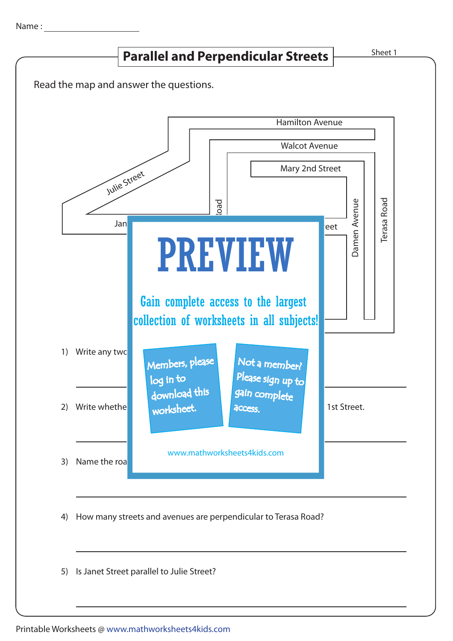